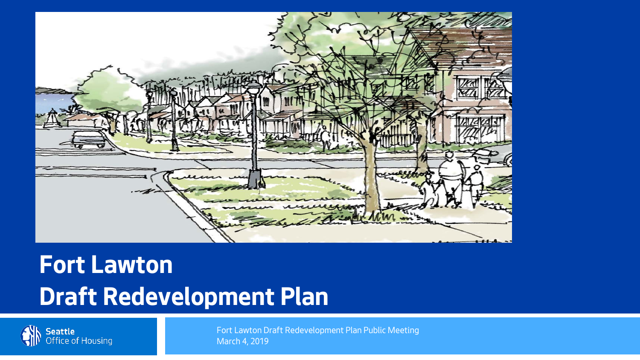

#### **Fort Lawton Draft Redevelopment Plan**



Fort Lawton Draft Redevelopment Plan Public Meeting March 4, 2019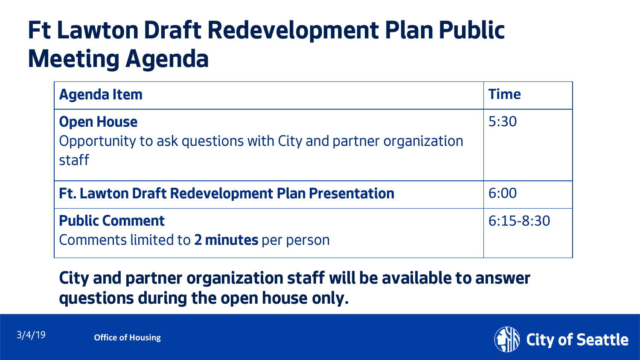#### **Ft Lawton Draft Redevelopment Plan Public Meeting Agenda**

| <b>Agenda Item</b>                                                                            | <b>Time</b>   |
|-----------------------------------------------------------------------------------------------|---------------|
| <b>Open House</b><br>Opportunity to ask questions with City and partner organization<br>staff | 5:30          |
| <b>Ft. Lawton Draft Redevelopment Plan Presentation</b>                                       | 6:00          |
| <b>Public Comment</b><br>Comments limited to 2 minutes per person                             | $6:15 - 8:30$ |

#### **City and partner organization staff will be available to answer questions during the open house only.**

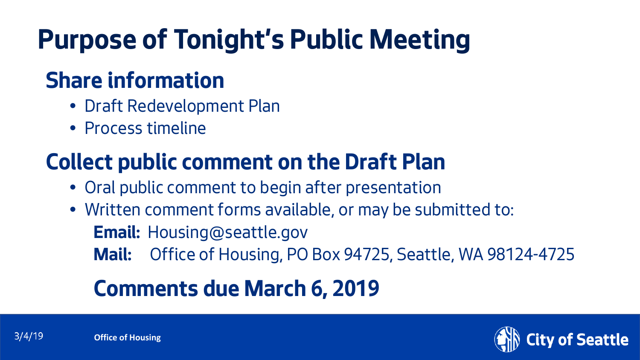# **Purpose of Tonight's Public Meeting**

#### **Share information**

- Draft Redevelopment Plan
- Process timeline

#### **Collect public comment on the Draft Plan**

- Oral public comment to begin after presentation
- Written comment forms available, or may be submitted to:

**Email:** Housing@seattle.gov

**Mail:** Office of Housing, PO Box 94725, Seattle, WA 98124-4725

#### **Comments due March 6, 2019**

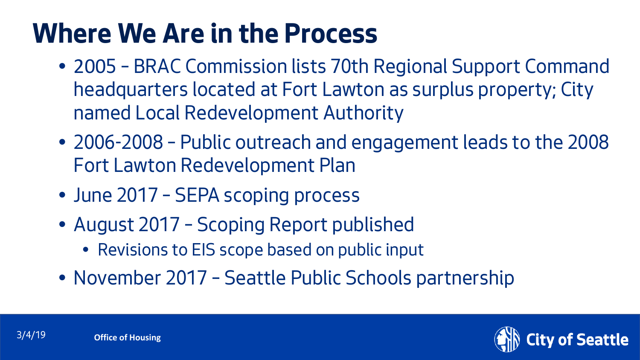## **Where We Are in the Process**

- 2005 BRAC Commission lists 70th Regional Support Command headquarters located at Fort Lawton as surplus property; City named Local Redevelopment Authority
- 2006-2008 Public outreach and engagement leads to the 2008 Fort Lawton Redevelopment Plan
- June 2017 SEPA scoping process
- August 2017 Scoping Report published
	- Revisions to EIS scope based on public input
- November 2017 Seattle Public Schools partnership

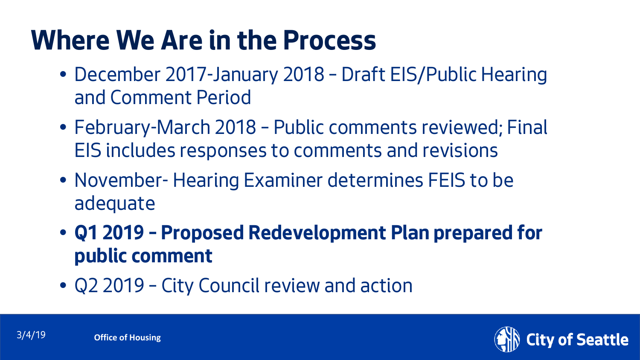## **Where We Are in the Process**

- December 2017-January 2018 Draft EIS/Public Hearing and Comment Period
- February-March 2018 Public comments reviewed; Final EIS includes responses to comments and revisions
- November- Hearing Examiner determines FEIS to be adequate
- **Q1 2019 – Proposed Redevelopment Plan prepared for public comment**
- Q2 2019 City Council review and action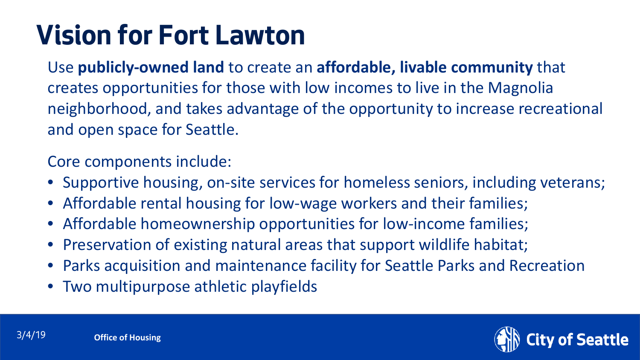# **Vision for Fort Lawton**

Use **publicly-owned land** to create an **affordable, livable community** that creates opportunities for those with low incomes to live in the Magnolia neighborhood, and takes advantage of the opportunity to increase recreational and open space for Seattle.

Core components include:

- Supportive housing, on-site services for homeless seniors, including veterans;
- Affordable rental housing for low-wage workers and their families;
- Affordable homeownership opportunities for low-income families;
- Preservation of existing natural areas that support wildlife habitat;
- Parks acquisition and maintenance facility for Seattle Parks and Recreation
- Two multipurpose athletic playfields

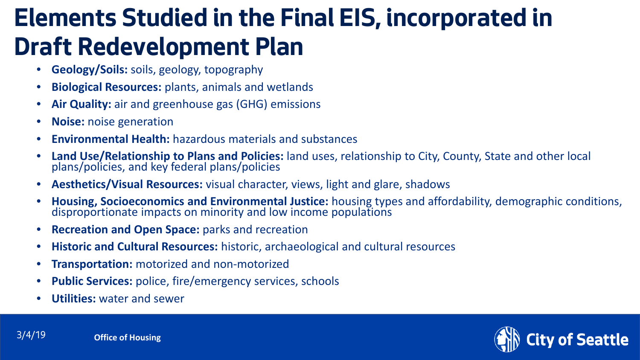#### **Elements Studied in the Final EIS, incorporated in Draft Redevelopment Plan**

- **Geology/Soils:** soils, geology, topography
- **Biological Resources:** plants, animals and wetlands
- **Air Quality:** air and greenhouse gas (GHG) emissions
- **Noise:** noise generation
- **Environmental Health:** hazardous materials and substances
- **Land Use/Relationship to Plans and Policies:** land uses, relationship to City, County, State and other local plans/policies, and key federal plans/policies
- **Aesthetics/Visual Resources:** visual character, views, light and glare, shadows
- **Housing, Socioeconomics and Environmental Justice:** housing types and affordability, demographic conditions,<br>disproportionate impacts on minority and low income populations
- **Recreation and Open Space:** parks and recreation
- **Historic and Cultural Resources:** historic, archaeological and cultural resources
- **Transportation:** motorized and non-motorized
- **Public Services:** police, fire/emergency services, schools
- **Utilities:** water and sewer

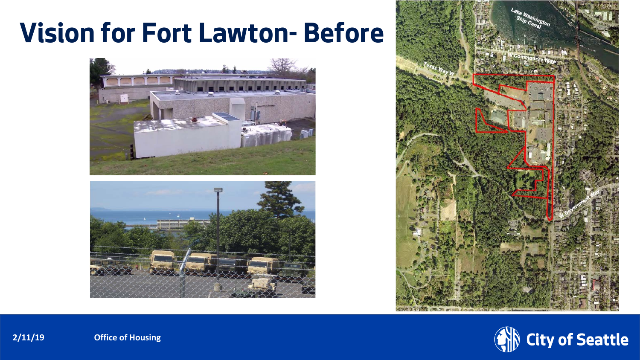#### **Vision for Fort Lawton- Before**









**2/11/19 Office of Housing**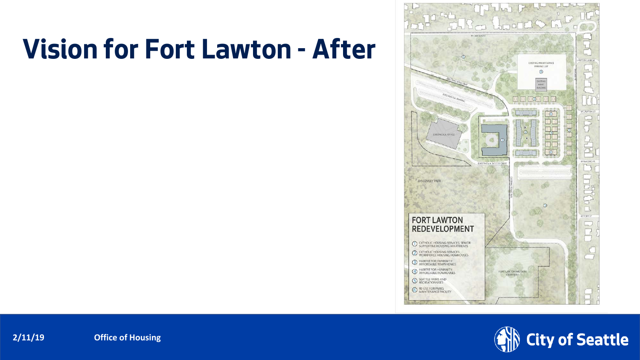## **Vision for Fort Lawton - After**





**2/11/19 Office of Housing**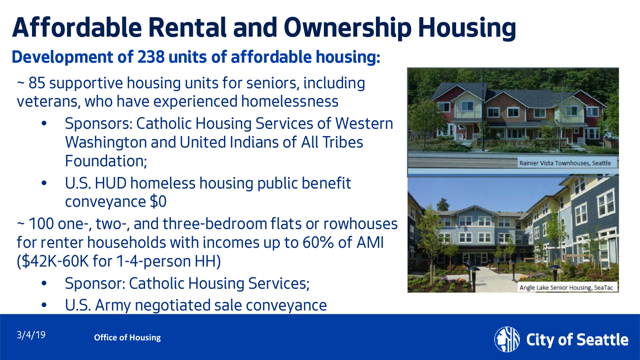# **Affordable Rental and Ownership Housing**

#### **Development of 238 units of affordable housing:**

- ~ 85 supportive housing units for seniors, including veterans, who have experienced homelessness
	- Sponsors: Catholic Housing Services of Western Washington and United Indians of All Tribes Foundation;
	- U.S. HUD homeless housing public benefit conveyance \$0
- ~ 100 one-, two-, and three-bedroom flats or rowhouses for renter households with incomes up to 60% of AMI (\$42K-60K for 1-4-person HH)
	- Sponsor: Catholic Housing Services;
	- U.S. Army negotiated sale conveyance





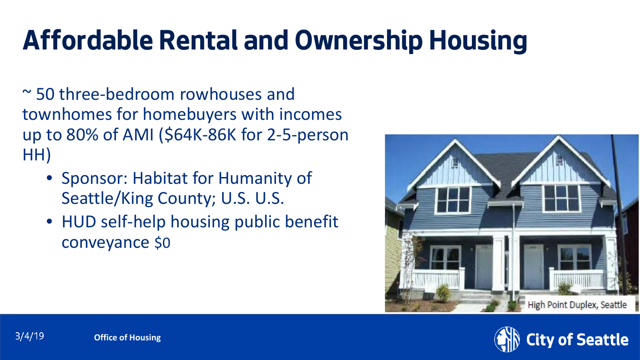# **Affordable Rental and Ownership Housing**

~ 50 three-bedroom rowhouses and townhomes for homebuyers with incomes up to 80% of AMI (\$64K-86K for 2-5-person HH)

- Sponsor: Habitat for Humanity of Seattle/King County; U.S. U.S.
- HUD self-help housing public benefit conveyance \$0



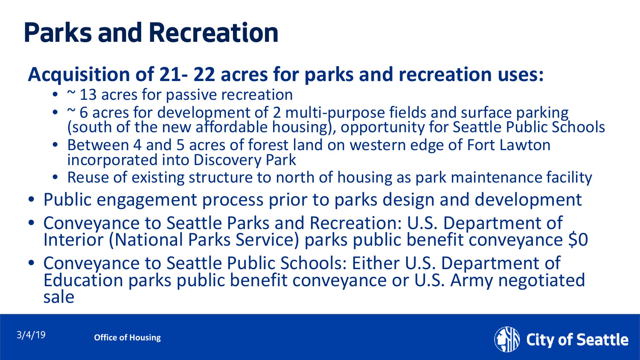# **Parks and Recreation**

#### **Acquisition of 21- 22 acres for parks and recreation uses:**

- ~ 13 acres for passive recreation
- ~ 6 acres for development of 2 multi-purpose fields and surface parking<br>(south of the new affordable housing), opportunity for Seattle Public Schools
- Between 4 and 5 acres of forest land on western edge of Fort Lawton incorporated into Discovery Park
- Reuse of existing structure to north of housing as park maintenance facility
- Public engagement process prior to parks design and development
- Conveyance to Seattle Parks and Recreation: U.S. Department of Interior (National Parks Service) parks public benefit conveyance \$0
- Conveyance to Seattle Public Schools: Either U.S. Department of Education parks public benefit conveyance or U.S. Army negotiated sale

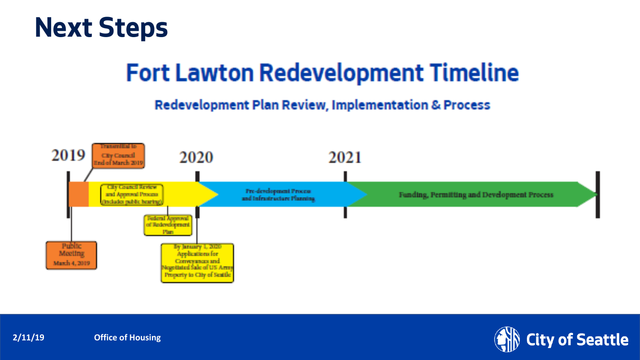

#### **Fort Lawton Redevelopment Timeline**

#### **Redevelopment Plan Review, Implementation & Process**